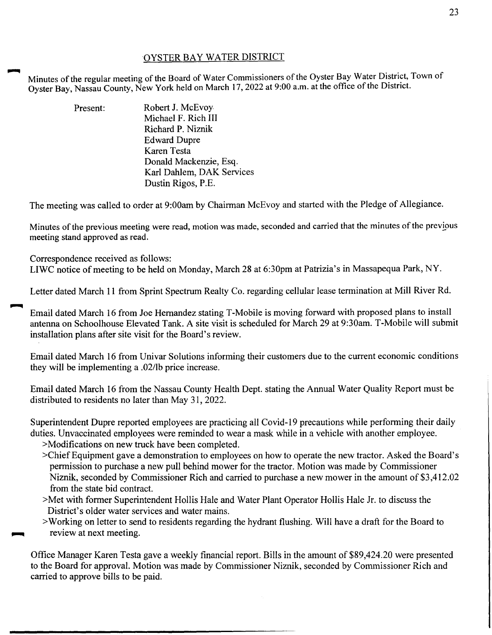## OYSTER BAY WATER DISTRICT

Minutes of the regular meeting of the Board of Water Commissioners of the Oyster Bay Water District, Town of Oyster Bay, Nassau County, New York held on March 17, 2022 at 9:00 a.m. at the office of the District.

> Present: Robert J. McEvoy. Michael F. Rich III Richard P. Niznik Edward Dupre Karen Testa Donald Mackenzie, Esq. Karl Dahlem, OAK Services Dustin Rigos, P.E.

The meeting was called to order at 9:00am by Chairman McEvoy and started with the Pledge of Allegiance.

Minutes of the previous meeting were read, motion was made, seconded and carried that the minutes of the previous meeting stand approved as read.

Correspondence received as follows: LIWC notice of meeting to be held on Monday, March 28 at 6:30pm at Patrizia's in Massapequa Park, NY.

Letter dated March 11 from Sprint Spectrum Realty Co. regarding cellular lease termination at Mill River Rd.

Email dated March 16 from Joe Hernandez stating T-Mobile is moving forward with proposed plans to install antenna on Schoolhouse Elevated Tank. A site visit is scheduled for March 29 at 9:30am. T-Mobile will submit installation plans after site visit for the Board's review.

Email dated March 16 from Univar Solutions informing their customers due to the current economic conditions they will be implementing a .02/lb price increase.

Email dated March 16 from the Nassau County Health Dept. stating the Annual Water Quality Report must be distributed to residents no later than May 31, 2022.

Superintendent Dupre reported employees are practicing all Covid-19 precautions while performing their daily duties. Unvaccinated employees were reminded to wear a mask while in a vehicle with another employee.

>Modifications on new truck have been completed.

- >Chief Equipment gave a demonstration to employees on how to operate the new tractor. Asked the Board's permission to purchase a new pull behind mower for the tractor. Motion was made by Commissioner Niznik, seconded by Commissioner Rich and carried to purchase a new mower in the amount of \$3,412.02 from the state bid contract.
- >Met with former Superintendent Hollis Hale and Water Plant Operator Hollis Hale Jr. to discuss the District's older water services and water mains.
- >Working on letter to send to residents regarding the hydrant flushing. Will have a draft for the Board to review at next meeting.

Office Manager Karen Testa gave a weekly financial report. Bills in the amount of \$89,424.20 were presented to the Board for approval. Motion was made by Commissioner Niznik, seconded by Commissioner Rich and carried to approve bills to be paid.